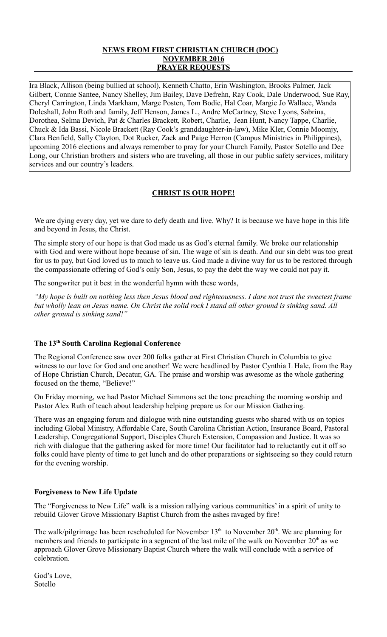# **NEWS FROM FIRST CHRISTIAN CHURCH (DOC) NOVEMBER 2016 PRAYER REQUESTS**

Ira Black, Allison (being bullied at school), Kenneth Chatto, Erin Washington, Brooks Palmer, Jack Gilbert, Connie Santee, Nancy Shelley, Jim Bailey, Dave Defrehn, Ray Cook, Dale Underwood, Sue Ray, Cheryl Carrington, Linda Markham, Marge Posten, Tom Bodie, Hal Coar, Margie Jo Wallace, Wanda Doleshall, John Roth and family, Jeff Henson, James L., Andre McCartney, Steve Lyons, Sabrina, Dorothea, Selma Devich, Pat & Charles Brackett, Robert, Charlie, Jean Hunt, Nancy Tappe, Charlie, Chuck & Ida Bassi, Nicole Brackett (Ray Cook's granddaughter-in-law), Mike Kler, Connie Moomjy, Clara Benfield, Sally Clayton, Dot Rucker, Zack and Paige Herron (Campus Ministries in Philippines), upcoming 2016 elections and always remember to pray for your Church Family, Pastor Sotello and Dee Long, our Christian brothers and sisters who are traveling, all those in our public safety services, military services and our country's leaders.

# **CHRIST IS OUR HOPE!**

We are dying every day, yet we dare to defy death and live. Why? It is because we have hope in this life and beyond in Jesus, the Christ.

The simple story of our hope is that God made us as God's eternal family. We broke our relationship with God and were without hope because of sin. The wage of sin is death. And our sin debt was too great for us to pay, but God loved us to much to leave us. God made a divine way for us to be restored through the compassionate offering of God's only Son, Jesus, to pay the debt the way we could not pay it.

The songwriter put it best in the wonderful hymn with these words,

*"My hope is built on nothing less then Jesus blood and righteousness. I dare not trust the sweetest frame but wholly lean on Jesus name. On Christ the solid rock I stand all other ground is sinking sand. All other ground is sinking sand!"*

## **The 13th South Carolina Regional Conference**

The Regional Conference saw over 200 folks gather at First Christian Church in Columbia to give witness to our love for God and one another! We were headlined by Pastor Cynthia L Hale, from the Ray of Hope Christian Church, Decatur, GA. The praise and worship was awesome as the whole gathering focused on the theme, "Believe!"

On Friday morning, we had Pastor Michael Simmons set the tone preaching the morning worship and Pastor Alex Ruth of teach about leadership helping prepare us for our Mission Gathering.

There was an engaging forum and dialogue with nine outstanding guests who shared with us on topics including Global Ministry, Affordable Care, South Carolina Christian Action, Insurance Board, Pastoral Leadership, Congregational Support, Disciples Church Extension, Compassion and Justice. It was so rich with dialogue that the gathering asked for more time! Our facilitator had to reluctantly cut it off so folks could have plenty of time to get lunch and do other preparations or sightseeing so they could return for the evening worship.

## **Forgiveness to New Life Update**

The "Forgiveness to New Life" walk is a mission rallying various communities' in a spirit of unity to rebuild Glover Grove Missionary Baptist Church from the ashes ravaged by fire!

The walk/pilgrimage has been rescheduled for November  $13<sup>th</sup>$  to November  $20<sup>th</sup>$ . We are planning for members and friends to participate in a segment of the last mile of the walk on November  $20<sup>th</sup>$  as we approach Glover Grove Missionary Baptist Church where the walk will conclude with a service of celebration.

God's Love, Sotello